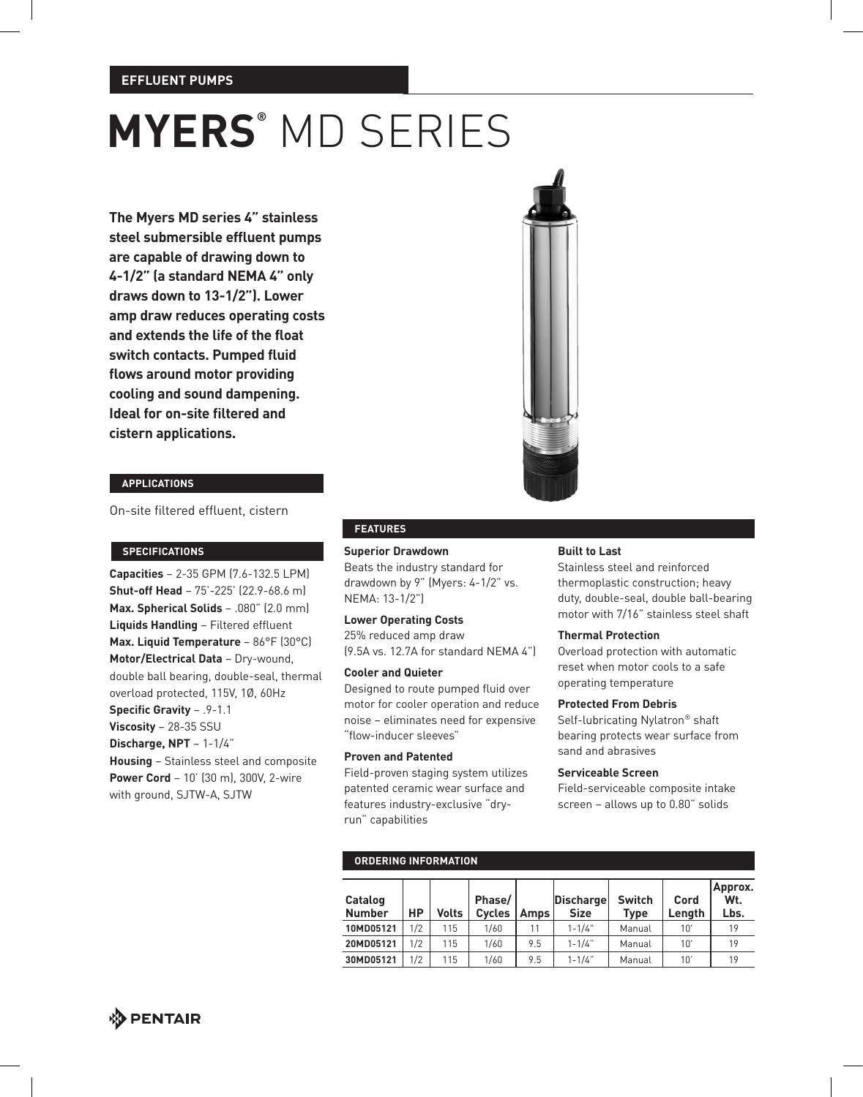### **EFFLUENT PUMPS**

# **MYERS®** MD SERIES

**The Myers MD series 4" stainless steel submersible effluent pumps are capable of drawing down to 4-1/2" (a standard NEMA 4" only draws down to 13-1/2"). Lower amp draw reduces operating costs and extends the life of the float switch contacts. Pumped fluid flows around motor providing cooling and sound dampening. Ideal for on-site filtered and cistern applications.**



#### **applications**

On-site filtered effluent, cistern

**Capacities** – 2-35 GPM (7.6-132.5 LPM) **Shut-off Head** – 75'-225' (22.9-68.6 m) **Max. Spherical Solids** – .080" (2.0 mm) **Liquids Handling** – Filtered effluent **Max. Liquid Temperature** – 86°F (30°C) **Motor/Electrical Data** – Dry-wound, double ball bearing, double-seal, thermal overload protected, 115V, 1Ø, 60Hz **Specific Gravity** – .9-1.1 **Viscosity** – 28-35 SSU **Discharge, NPT** – 1-1/4" **Housing** – Stainless steel and composite **Power Cord** – 10' (30 m), 300V, 2-wire with ground, SJTW-A, SJTW

#### **features**

**specifications Superior Drawdown**

Beats the industry standard for drawdown by 9" (Myers: 4-1/2" vs. NEMA: 13-1/2")

### **Lower Operating Costs**

25% reduced amp draw (9.5A vs. 12.7A for standard NEMA 4")

#### **Cooler and Quieter**

Designed to route pumped fluid over motor for cooler operation and reduce noise – eliminates need for expensive "flow-inducer sleeves"

### **Proven and Patented**

**ordering information**

Field-proven staging system utilizes patented ceramic wear surface and features industry-exclusive "dryrun" capabilities

#### **Built to Last**

Stainless steel and reinforced thermoplastic construction; heavy duty, double-seal, double ball-bearing motor with 7/16" stainless steel shaft

#### **Thermal Protection**

Overload protection with automatic reset when motor cools to a safe operating temperature

#### **Protected From Debris**

Self-lubricating Nylatron® shaft bearing protects wear surface from sand and abrasives

#### **Serviceable Screen**

Field-serviceable composite intake screen – allows up to 0.80" solids

| <u>UNDENINU INI UNITALIUN</u> |     |              |                         |             |                                 |                       |                |                        |  |  |
|-------------------------------|-----|--------------|-------------------------|-------------|---------------------------------|-----------------------|----------------|------------------------|--|--|
| Catalog<br><b>Number</b>      | HP  | <b>Volts</b> | Phase/<br><b>Cycles</b> | <b>Amps</b> | <b>Discharge</b><br><b>Size</b> | <b>Switch</b><br>Type | Cord<br>Length | Approx.<br>Wt.<br>Lbs. |  |  |
| 10MD05121                     | 1/2 | 115          | 1/60                    |             | $1 - 1/4"$                      | Manual                | 10'            | 19                     |  |  |
| 20MD05121                     | 1/2 | 115          | 1/60                    | 9.5         | $1 - 1/4$ "                     | Manual                | 10'            | 19                     |  |  |
| 30MD05121                     | 1/2 | 115          | 1/60                    | 9.5         | $1 - 1/4$ "                     | Manual                | 10'            | 19                     |  |  |